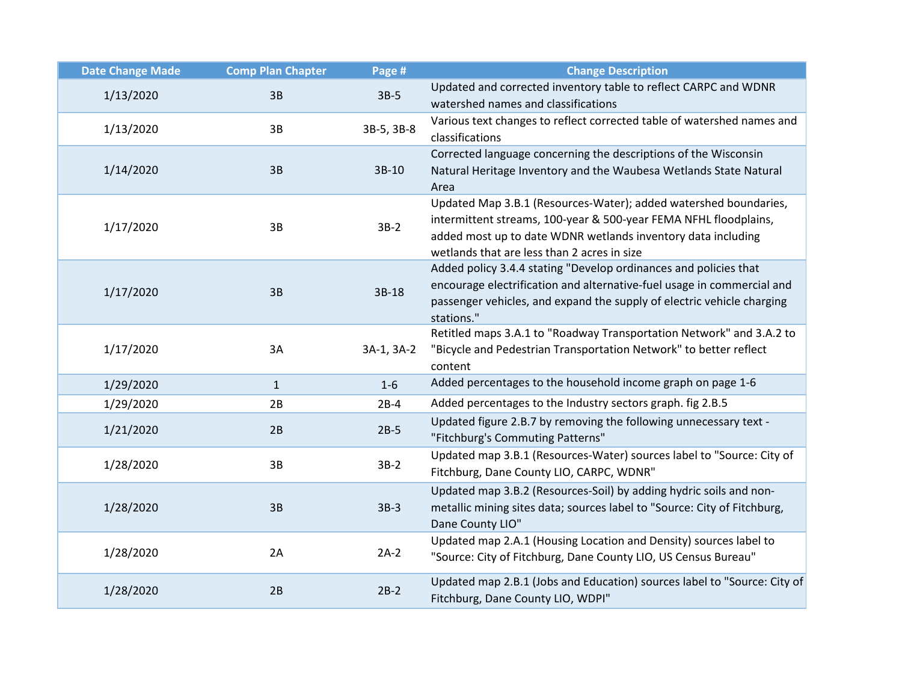| <b>Date Change Made</b> | <b>Comp Plan Chapter</b> | Page #     | <b>Change Description</b>                                                                                                                                                                                                                           |
|-------------------------|--------------------------|------------|-----------------------------------------------------------------------------------------------------------------------------------------------------------------------------------------------------------------------------------------------------|
| 1/13/2020               | 3B                       | $3B-5$     | Updated and corrected inventory table to reflect CARPC and WDNR<br>watershed names and classifications                                                                                                                                              |
| 1/13/2020               | 3B                       | 3B-5, 3B-8 | Various text changes to reflect corrected table of watershed names and<br>classifications                                                                                                                                                           |
| 1/14/2020               | 3B                       | 3B-10      | Corrected language concerning the descriptions of the Wisconsin<br>Natural Heritage Inventory and the Waubesa Wetlands State Natural<br>Area                                                                                                        |
| 1/17/2020               | 3B                       | $3B-2$     | Updated Map 3.B.1 (Resources-Water); added watershed boundaries,<br>intermittent streams, 100-year & 500-year FEMA NFHL floodplains,<br>added most up to date WDNR wetlands inventory data including<br>wetlands that are less than 2 acres in size |
| 1/17/2020               | 3B                       | 3B-18      | Added policy 3.4.4 stating "Develop ordinances and policies that<br>encourage electrification and alternative-fuel usage in commercial and<br>passenger vehicles, and expand the supply of electric vehicle charging<br>stations."                  |
| 1/17/2020               | 3A                       | 3A-1, 3A-2 | Retitled maps 3.A.1 to "Roadway Transportation Network" and 3.A.2 to<br>"Bicycle and Pedestrian Transportation Network" to better reflect<br>content                                                                                                |
| 1/29/2020               | $\mathbf{1}$             | $1-6$      | Added percentages to the household income graph on page 1-6                                                                                                                                                                                         |
| 1/29/2020               | 2B                       | $2B-4$     | Added percentages to the Industry sectors graph. fig 2.B.5                                                                                                                                                                                          |
| 1/21/2020               | 2B                       | $2B-5$     | Updated figure 2.B.7 by removing the following unnecessary text -<br>"Fitchburg's Commuting Patterns"                                                                                                                                               |
| 1/28/2020               | 3B                       | $3B-2$     | Updated map 3.B.1 (Resources-Water) sources label to "Source: City of<br>Fitchburg, Dane County LIO, CARPC, WDNR"                                                                                                                                   |
| 1/28/2020               | 3B                       | $3B-3$     | Updated map 3.B.2 (Resources-Soil) by adding hydric soils and non-<br>metallic mining sites data; sources label to "Source: City of Fitchburg,<br>Dane County LIO"                                                                                  |
| 1/28/2020               | 2A                       | $2A-2$     | Updated map 2.A.1 (Housing Location and Density) sources label to<br>"Source: City of Fitchburg, Dane County LIO, US Census Bureau"                                                                                                                 |
| 1/28/2020               | 2B                       | $2B-2$     | Updated map 2.B.1 (Jobs and Education) sources label to "Source: City of<br>Fitchburg, Dane County LIO, WDPI"                                                                                                                                       |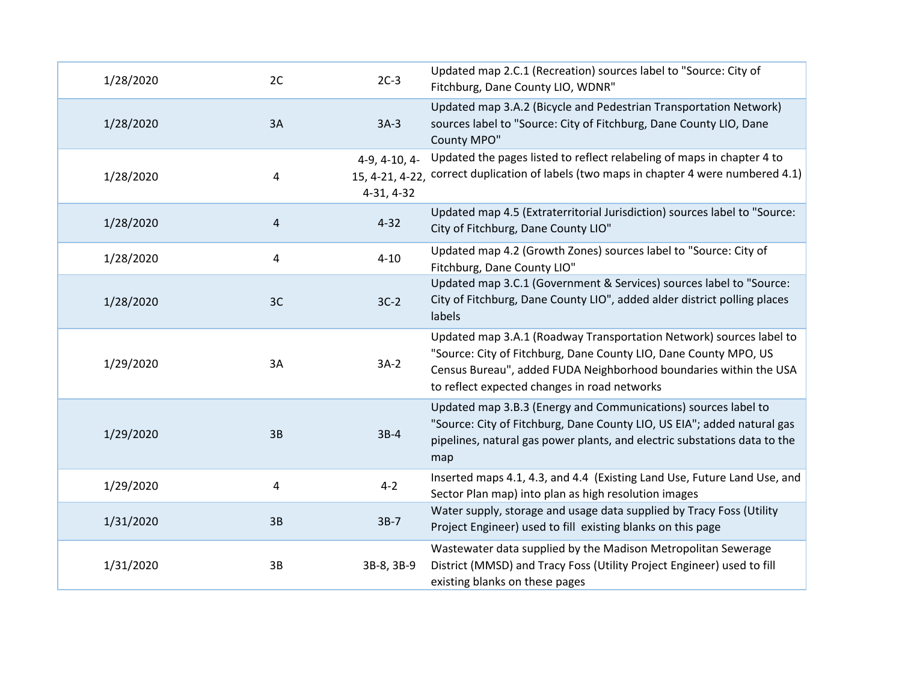| 1/28/2020 | 2C | $2C-3$                      | Updated map 2.C.1 (Recreation) sources label to "Source: City of<br>Fitchburg, Dane County LIO, WDNR"                                                                                                                                                        |
|-----------|----|-----------------------------|--------------------------------------------------------------------------------------------------------------------------------------------------------------------------------------------------------------------------------------------------------------|
| 1/28/2020 | 3A | $3A-3$                      | Updated map 3.A.2 (Bicycle and Pedestrian Transportation Network)<br>sources label to "Source: City of Fitchburg, Dane County LIO, Dane<br>County MPO"                                                                                                       |
| 1/28/2020 | 4  | 4-9, 4-10, 4-<br>4-31, 4-32 | Updated the pages listed to reflect relabeling of maps in chapter 4 to<br>15, 4-21, 4-22, correct duplication of labels (two maps in chapter 4 were numbered 4.1)                                                                                            |
| 1/28/2020 | 4  | $4 - 32$                    | Updated map 4.5 (Extraterritorial Jurisdiction) sources label to "Source:<br>City of Fitchburg, Dane County LIO"                                                                                                                                             |
| 1/28/2020 | 4  | $4 - 10$                    | Updated map 4.2 (Growth Zones) sources label to "Source: City of<br>Fitchburg, Dane County LIO"                                                                                                                                                              |
| 1/28/2020 | 3C | $3C-2$                      | Updated map 3.C.1 (Government & Services) sources label to "Source:<br>City of Fitchburg, Dane County LIO", added alder district polling places<br>labels                                                                                                    |
| 1/29/2020 | 3A | $3A-2$                      | Updated map 3.A.1 (Roadway Transportation Network) sources label to<br>"Source: City of Fitchburg, Dane County LIO, Dane County MPO, US<br>Census Bureau", added FUDA Neighborhood boundaries within the USA<br>to reflect expected changes in road networks |
| 1/29/2020 | 3B | $3B-4$                      | Updated map 3.B.3 (Energy and Communications) sources label to<br>"Source: City of Fitchburg, Dane County LIO, US EIA"; added natural gas<br>pipelines, natural gas power plants, and electric substations data to the<br>map                                |
| 1/29/2020 | 4  | $4 - 2$                     | Inserted maps 4.1, 4.3, and 4.4 (Existing Land Use, Future Land Use, and<br>Sector Plan map) into plan as high resolution images                                                                                                                             |
| 1/31/2020 | 3B | $3B-7$                      | Water supply, storage and usage data supplied by Tracy Foss (Utility<br>Project Engineer) used to fill existing blanks on this page                                                                                                                          |
| 1/31/2020 | 3B | 3B-8, 3B-9                  | Wastewater data supplied by the Madison Metropolitan Sewerage<br>District (MMSD) and Tracy Foss (Utility Project Engineer) used to fill<br>existing blanks on these pages                                                                                    |